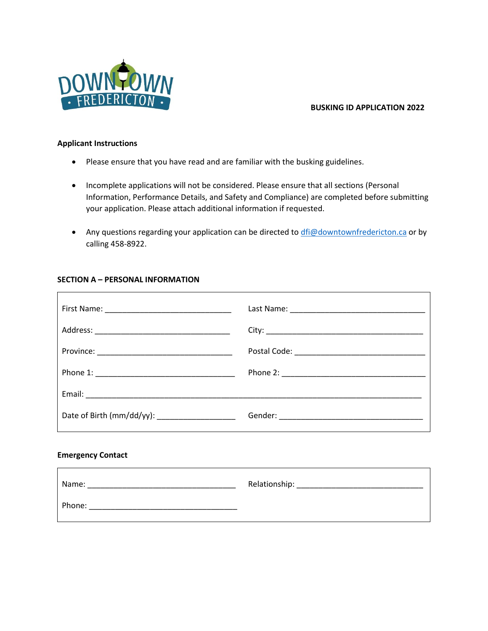

# **BUSKING ID APPLICATION 2022**

### **Applicant Instructions**

- Please ensure that you have read and are familiar with the busking guidelines.
- Incomplete applications will not be considered. Please ensure that all sections (Personal Information, Performance Details, and Safety and Compliance) are completed before submitting your application. Please attach additional information if requested.
- Any questions regarding your application can be directed to [dfi@downtownfredericton.ca](mailto:dfi@downtownfredericton.ca) or by calling 458-8922.

## **SECTION A – PERSONAL INFORMATION**

| Date of Birth (mm/dd/yy): ______________________ |  |
|--------------------------------------------------|--|
| Emarganau Cantact                                |  |

#### **Emergency Contact**

 $\Gamma$ 

| Name:  | Relationship: |
|--------|---------------|
| Phone: |               |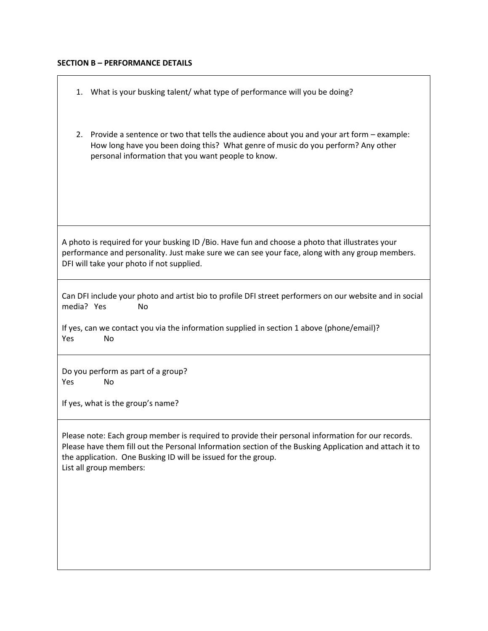# **SECTION B – PERFORMANCE DETAILS**

| What is your busking talent/ what type of performance will you be doing?<br>1.                                                                                                                                                                                                                          |  |  |
|---------------------------------------------------------------------------------------------------------------------------------------------------------------------------------------------------------------------------------------------------------------------------------------------------------|--|--|
| Provide a sentence or two that tells the audience about you and your art form – example:<br>2.<br>How long have you been doing this? What genre of music do you perform? Any other<br>personal information that you want people to know.                                                                |  |  |
| A photo is required for your busking ID / Bio. Have fun and choose a photo that illustrates your<br>performance and personality. Just make sure we can see your face, along with any group members.<br>DFI will take your photo if not supplied.                                                        |  |  |
| Can DFI include your photo and artist bio to profile DFI street performers on our website and in social<br>media? Yes<br>No<br>If yes, can we contact you via the information supplied in section 1 above (phone/email)?<br>Yes<br>No                                                                   |  |  |
| Do you perform as part of a group?<br>No<br>Yes<br>If yes, what is the group's name?                                                                                                                                                                                                                    |  |  |
| Please note: Each group member is required to provide their personal information for our records.<br>Please have them fill out the Personal Information section of the Busking Application and attach it to<br>the application. One Busking ID will be issued for the group.<br>List all group members: |  |  |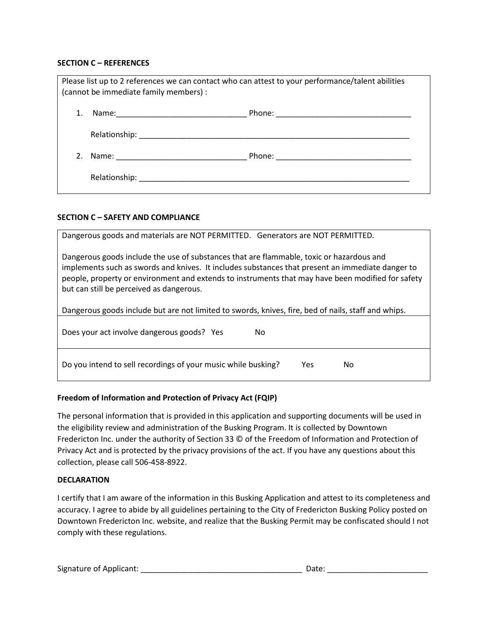### **SECTION C – REFERENCES**

| Please list up to 2 references we can contact who can attest to your performance/talent abilities<br>(cannot be immediate family members) : |  |  |
|---------------------------------------------------------------------------------------------------------------------------------------------|--|--|
|                                                                                                                                             |  |  |
|                                                                                                                                             |  |  |
|                                                                                                                                             |  |  |
|                                                                                                                                             |  |  |

## **SECTION C – SAFETY AND COMPLIANCE**

| Dangerous goods and materials are NOT PERMITTED. Generators are NOT PERMITTED.                                                                                                                                                                                                                                                                |  |  |  |
|-----------------------------------------------------------------------------------------------------------------------------------------------------------------------------------------------------------------------------------------------------------------------------------------------------------------------------------------------|--|--|--|
| Dangerous goods include the use of substances that are flammable, toxic or hazardous and<br>implements such as swords and knives. It includes substances that present an immediate danger to<br>people, property or environment and extends to instruments that may have been modified for safety<br>but can still be perceived as dangerous. |  |  |  |
| Dangerous goods include but are not limited to swords, knives, fire, bed of nails, staff and whips.                                                                                                                                                                                                                                           |  |  |  |
| Does your act involve dangerous goods? Yes<br>No.                                                                                                                                                                                                                                                                                             |  |  |  |
| Do you intend to sell recordings of your music while busking?<br>Yes.<br>No                                                                                                                                                                                                                                                                   |  |  |  |

# **Freedom of Information and Protection of Privacy Act (FQIP)**

The personal information that is provided in this application and supporting documents will be used in the eligibility review and administration of the Busking Program. It is collected by Downtown Fredericton Inc. under the authority of Section 33 © of the Freedom of Information and Protection of Privacy Act and is protected by the privacy provisions of the act. If you have any questions about this collection, please call 506-458-8922.

#### **DECLARATION**

I certify that I am aware of the information in this Busking Application and attest to its completeness and accuracy. I agree to abide by all guidelines pertaining to the City of Fredericton Busking Policy posted on Downtown Fredericton Inc. website, and realize that the Busking Permit may be confiscated should I not comply with these regulations.